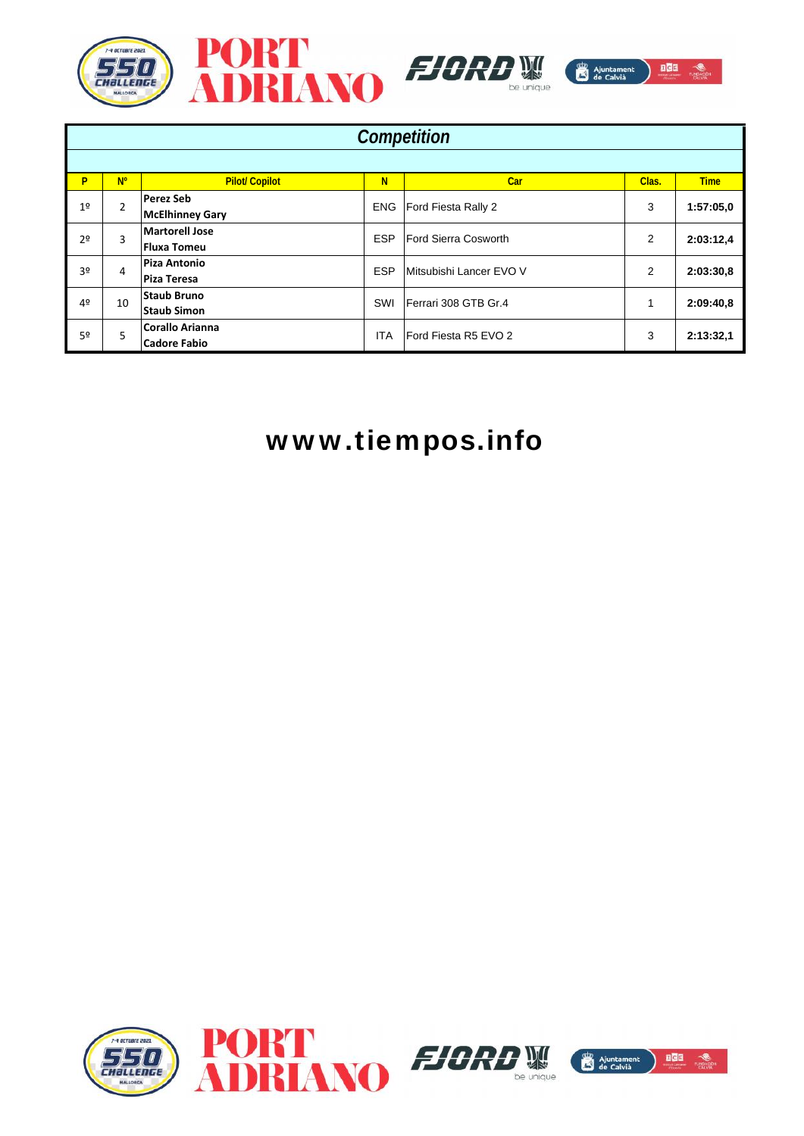







| <b>Competition</b> |                |                                             |            |                         |       |             |  |  |  |  |
|--------------------|----------------|---------------------------------------------|------------|-------------------------|-------|-------------|--|--|--|--|
| P                  | $N^p$          | <b>Pilot/Copilot</b>                        | N          | Car                     | Clas. | <b>Time</b> |  |  |  |  |
| 1 <sup>°</sup>     | $\overline{2}$ | <b>Perez Seb</b><br><b>McElhinney Gary</b>  | ENG        | Ford Fiesta Rally 2     | 3     | 1:57:05.0   |  |  |  |  |
| 20                 | 3              | <b>Martorell Jose</b><br><b>Fluxa Tomeu</b> | <b>ESP</b> | Ford Sierra Cosworth    | 2     | 2:03:12,4   |  |  |  |  |
| 3º                 | 4              | <b>Piza Antonio</b><br>Piza Teresa          | <b>ESP</b> | Mitsubishi Lancer EVO V | 2     | 2:03:30,8   |  |  |  |  |
| 4º                 | 10             | <b>Staub Bruno</b><br><b>Staub Simon</b>    | SWI        | Ferrari 308 GTB Gr.4    | 1     | 2:09:40,8   |  |  |  |  |
| 5º                 | 5              | <b>Corallo Arianna</b><br>Cadore Fabio      | <b>ITA</b> | Ford Fiesta R5 EVO 2    | 3     | 2:13:32,1   |  |  |  |  |

## **www.tiempos.info**